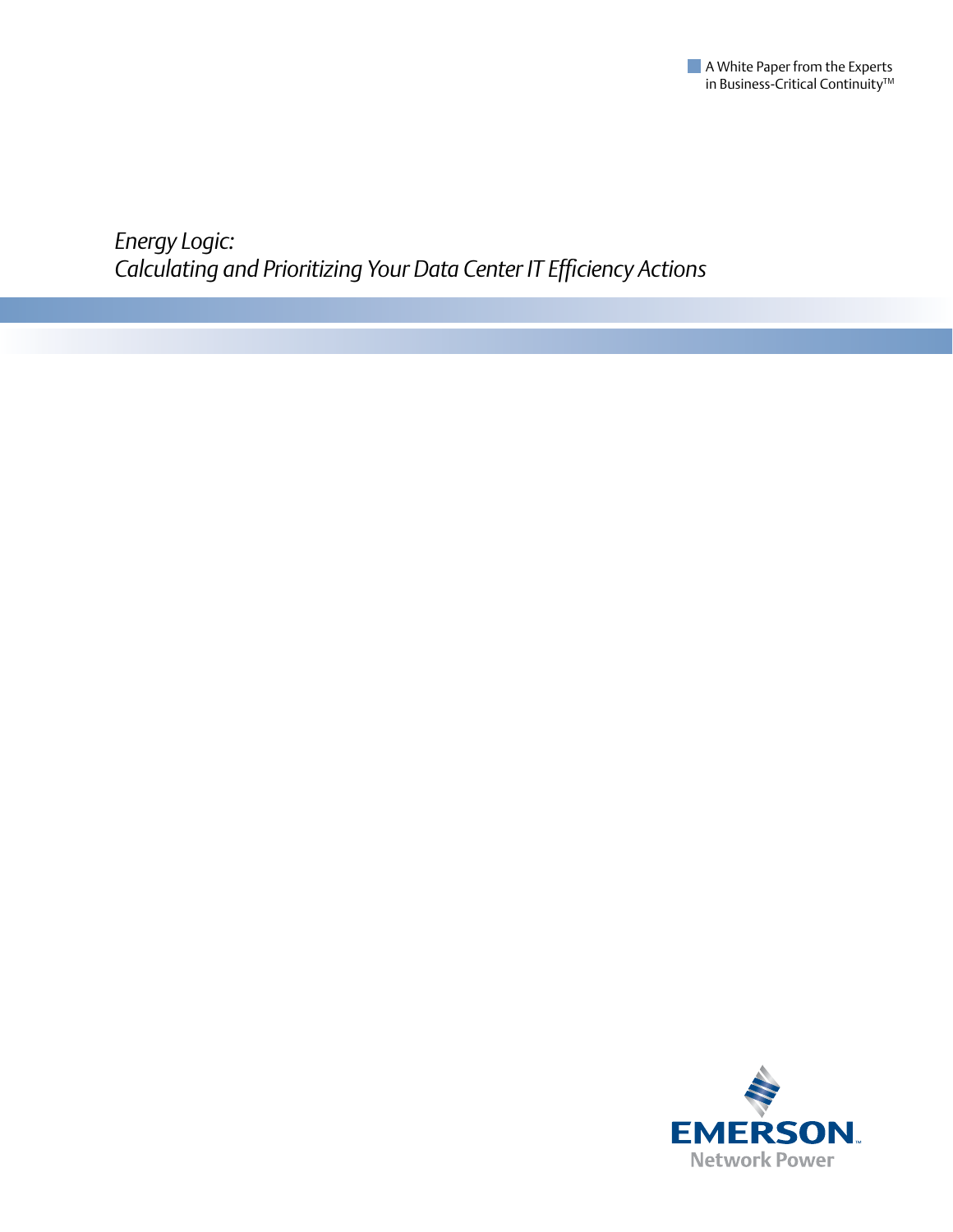

*Energy Logic: Calculating and Prioritizing Your Data Center IT Efficiency Actions*

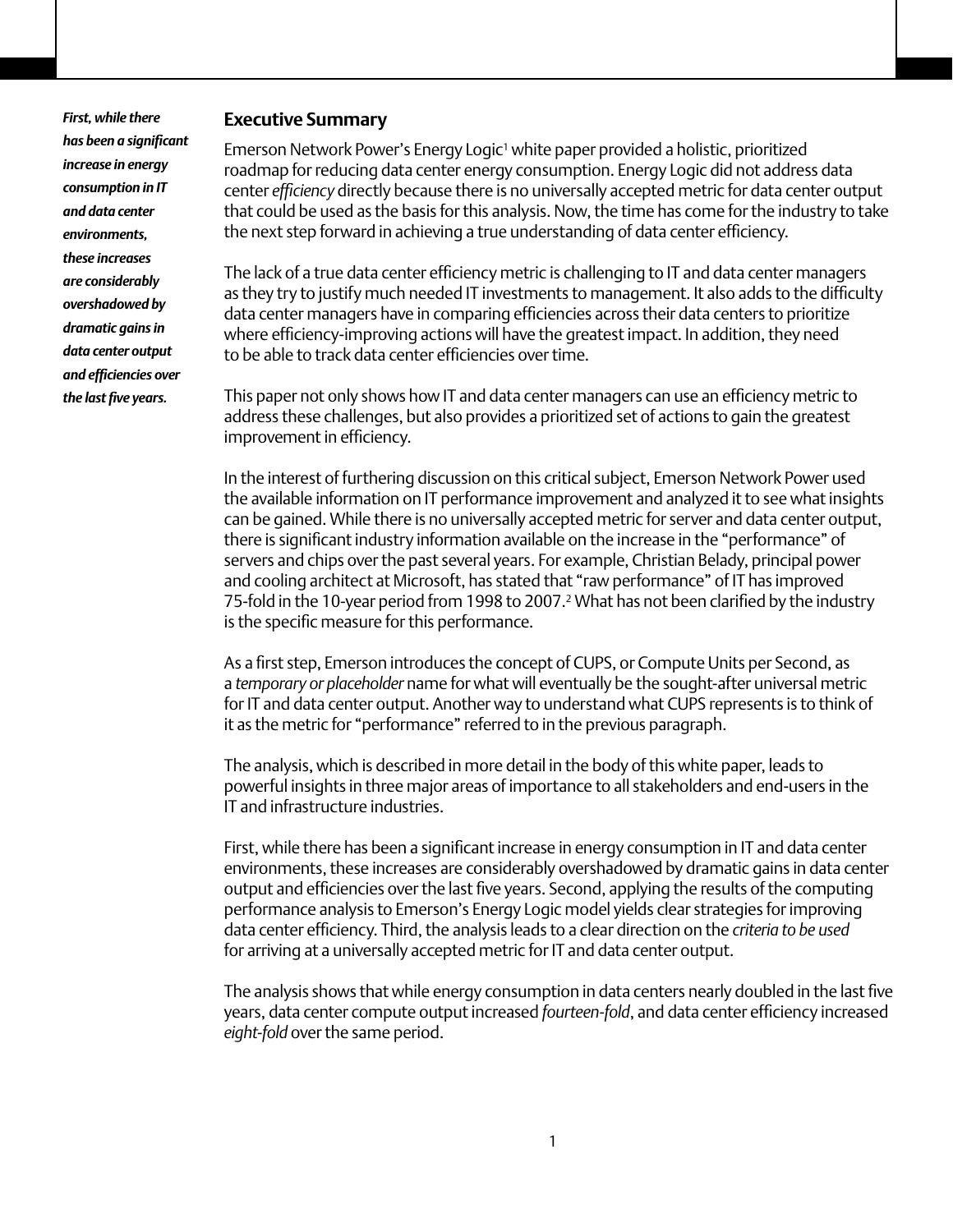*First, while there has been a significant increase in energy consumption in IT and data center environments, these increases are considerably overshadowed by dramatic gains in data center output and efficiencies over the last five years.* 

### **Executive Summary**

Emerson Network Power's Energy Logic<sup>1</sup> white paper provided a holistic, prioritized roadmap for reducing data center energy consumption. Energy Logic did not address data center *efficiency* directly because there is no universally accepted metric for data center output that could be used as the basis for this analysis. Now, the time has come for the industry to take the next step forward in achieving a true understanding of data center efficiency.

The lack of a true data center efficiency metric is challenging to IT and data center managers as they try to justify much needed IT investments to management. It also adds to the difficulty data center managers have in comparing efficiencies across their data centers to prioritize where efficiency-improving actions will have the greatest impact. In addition, they need to be able to track data center efficiencies over time.

This paper not only shows how IT and data center managers can use an efficiency metric to address these challenges, but also provides a prioritized set of actions to gain the greatest improvement in efficiency.

In the interest of furthering discussion on this critical subject, Emerson Network Power used the available information on IT performance improvement and analyzed it to see what insights can be gained. While there is no universally accepted metric for server and data center output, there is significant industry information available on the increase in the "performance" of servers and chips over the past several years. For example, Christian Belady, principal power and cooling architect at Microsoft, has stated that "raw performance" of IT has improved 75-fold in the 10-year period from 1998 to 2007.2 What has not been clarified by the industry is the specific measure for this performance.

As a first step, Emerson introduces the concept of CUPS, or Compute Units per Second, as a *temporary or placeholder* name for what will eventually be the sought-after universal metric for IT and data center output. Another way to understand what CUPS represents is to think of it as the metric for "performance" referred to in the previous paragraph.

The analysis, which is described in more detail in the body of this white paper, leads to powerful insights in three major areas of importance to all stakeholders and end-users in the IT and infrastructure industries.

First, while there has been a significant increase in energy consumption in IT and data center environments, these increases are considerably overshadowed by dramatic gains in data center output and efficiencies over the last five years. Second, applying the results of the computing performance analysis to Emerson's Energy Logic model yields clear strategies for improving data center efficiency. Third, the analysis leads to a clear direction on the *criteria to be used* for arriving at a universally accepted metric for IT and data center output.

The analysis shows that while energy consumption in data centers nearly doubled in the last five years, data center compute output increased *fourteen-fold*, and data center efficiency increased *eight-fold* over the same period.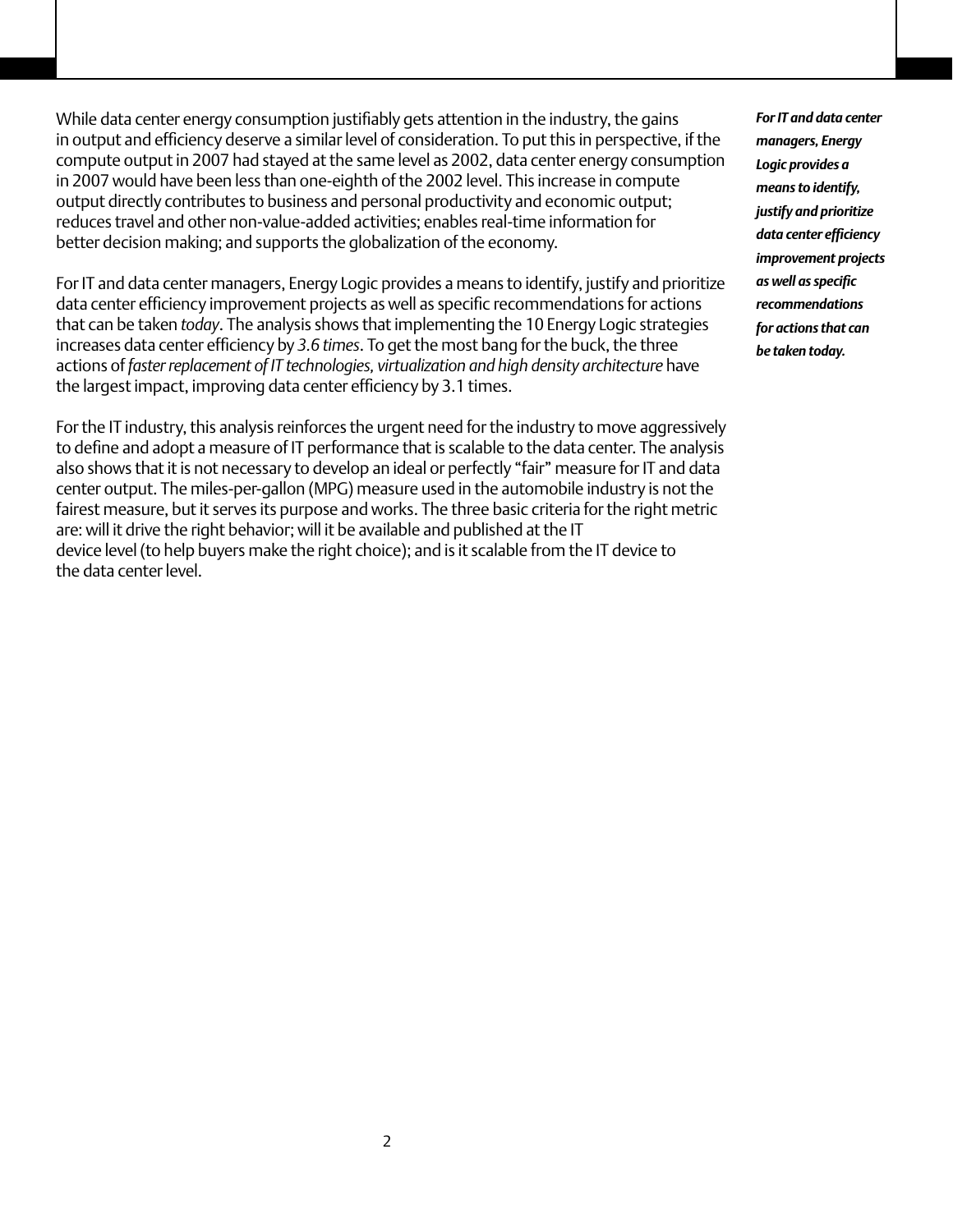While data center energy consumption justifiably gets attention in the industry, the gains in output and efficiency deserve a similar level of consideration. To put this in perspective, if the compute output in 2007 had stayed at the same level as 2002, data center energy consumption in 2007 would have been less than one-eighth of the 2002 level. This increase in compute output directly contributes to business and personal productivity and economic output; reduces travel and other non-value-added activities; enables real-time information for better decision making; and supports the globalization of the economy.

For IT and data center managers, Energy Logic provides a means to identify, justify and prioritize data center efficiency improvement projects as well as specific recommendations for actions that can be taken *today*. The analysis shows that implementing the 10 Energy Logic strategies increases data center efficiency by *3.6 times*. To get the most bang for the buck, the three actions of *faster replacement of IT technologies, virtualization and high density architecture* have the largest impact, improving data center efficiency by 3.1 times.

For the IT industry, this analysis reinforces the urgent need for the industry to move aggressively to define and adopt a measure of IT performance that is scalable to the data center. The analysis also shows that it is not necessary to develop an ideal or perfectly "fair" measure for IT and data center output. The miles-per-gallon (MPG) measure used in the automobile industry is not the fairest measure, but it serves its purpose and works. The three basic criteria for the right metric are: will it drive the right behavior; will it be available and published at the IT device level (to help buyers make the right choice); and is it scalable from the IT device to the data center level.

*For IT and data center managers, Energy Logic provides a means to identify, justify and prioritize data center efficiency improvement projects as well as specific recommendations for actions that can be taken today.*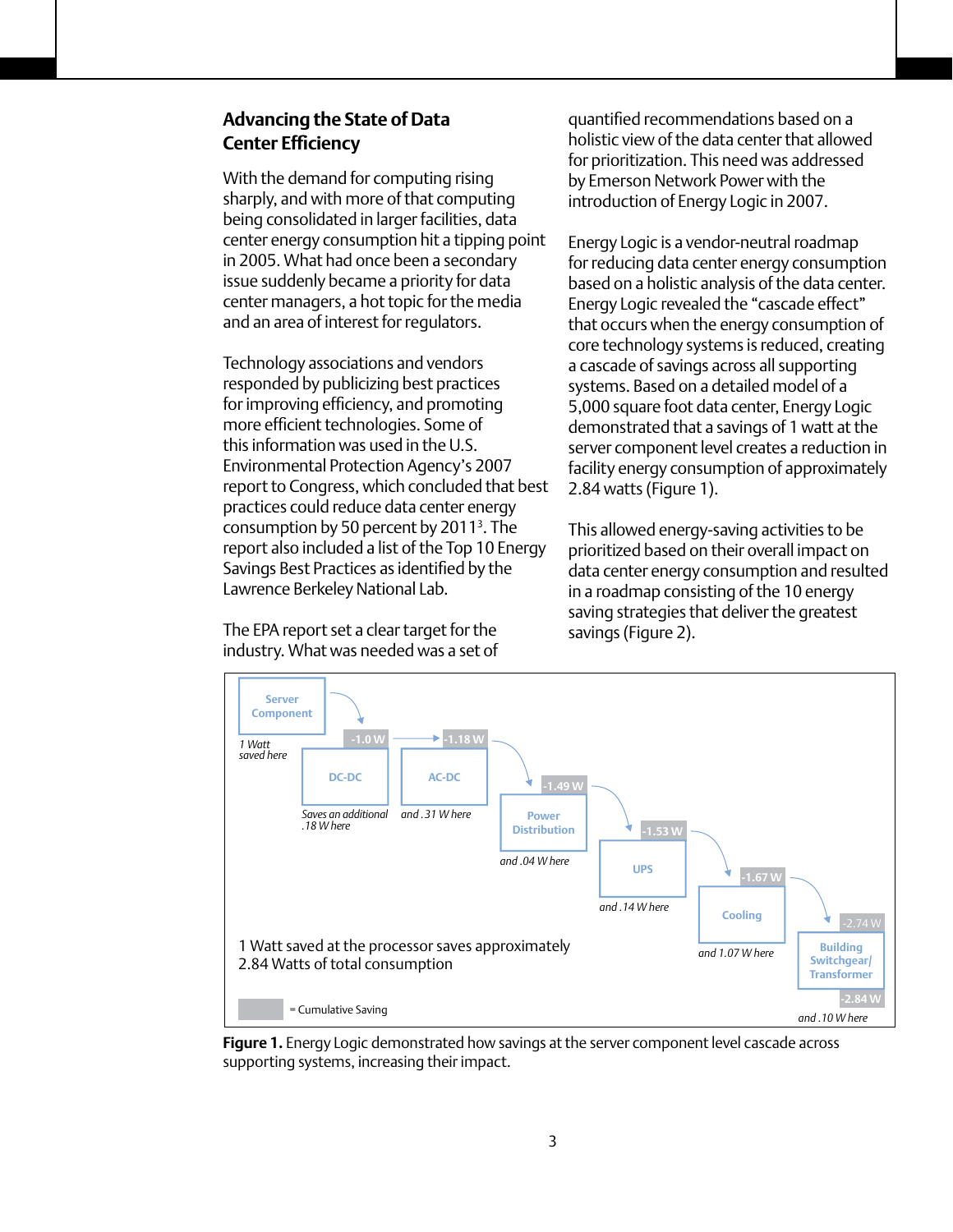# **Advancing the State of Data Center Efficiency**

With the demand for computing rising sharply, and with more of that computing being consolidated in larger facilities, data center energy consumption hit a tipping point in 2005. What had once been a secondary issue suddenly became a priority for data center managers, a hot topic for the media and an area of interest for regulators.

Technology associations and vendors responded by publicizing best practices for improving efficiency, and promoting more efficient technologies. Some of this information was used in the U.S. Environmental Protection Agency's 2007 report to Congress, which concluded that best practices could reduce data center energy consumption by 50 percent by 20113 . The report also included a list of the Top 10 Energy Savings Best Practices as identified by the Lawrence Berkeley National Lab.

The EPA report set a clear target for the industry. What was needed was a set of quantified recommendations based on a holistic view of the data center that allowed for prioritization. This need was addressed by Emerson Network Power with the introduction of Energy Logic in 2007.

Energy Logic is a vendor-neutral roadmap for reducing data center energy consumption based on a holistic analysis of the data center. Energy Logic revealed the "cascade effect" that occurs when the energy consumption of core technology systems is reduced, creating a cascade of savings across all supporting systems. Based on a detailed model of a 5,000 square foot data center, Energy Logic demonstrated that a savings of 1 watt at the server component level creates a reduction in facility energy consumption of approximately 2.84 watts (Figure 1).

This allowed energy-saving activities to be prioritized based on their overall impact on data center energy consumption and resulted in a roadmap consisting of the 10 energy saving strategies that deliver the greatest savings (Figure 2).



**Figure 1.** Energy Logic demonstrated how savings at the server component level cascade across supporting systems, increasing their impact.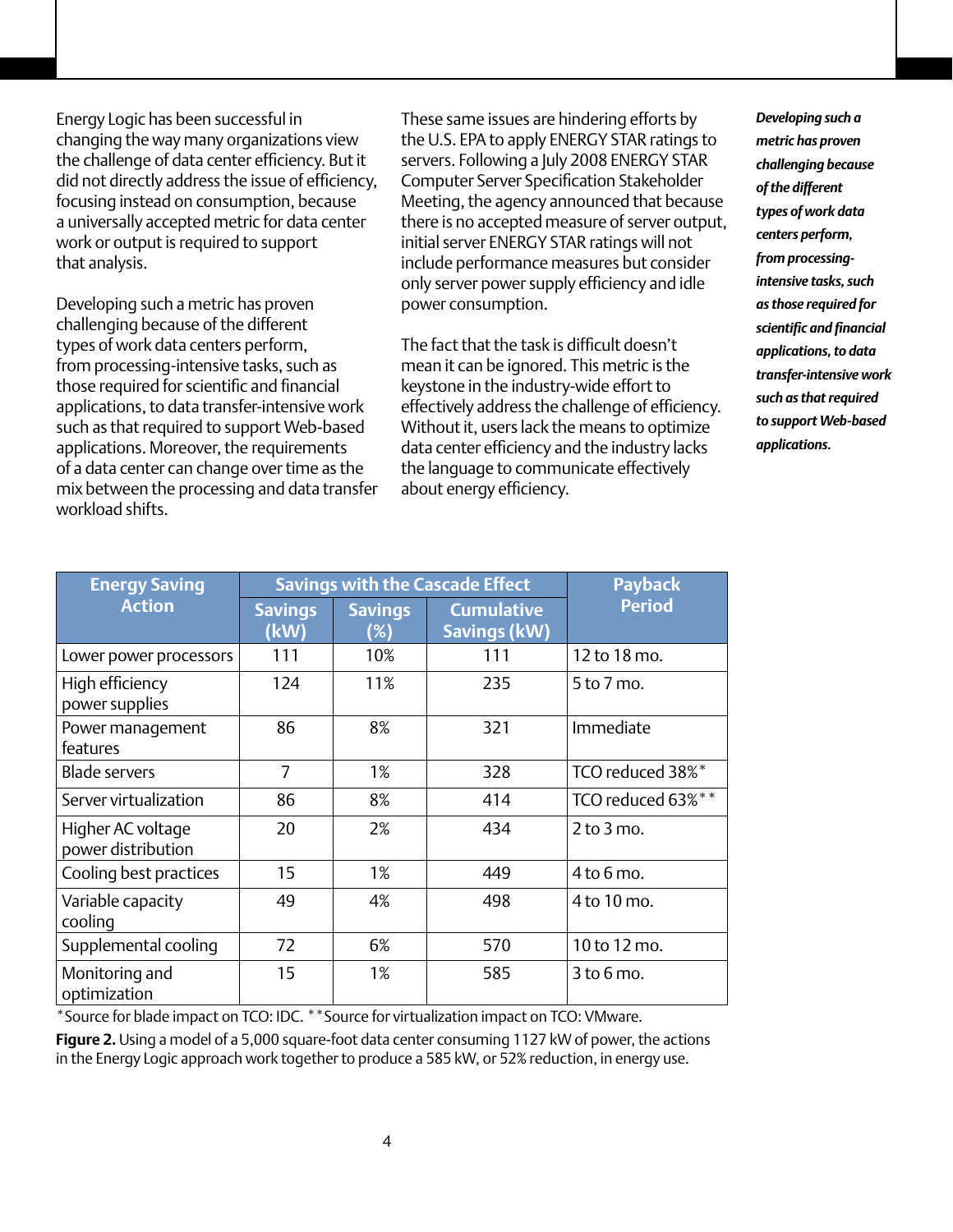Energy Logic has been successful in changing the way many organizations view the challenge of data center efficiency. But it did not directly address the issue of efficiency, focusing instead on consumption, because a universally accepted metric for data center work or output is required to support that analysis.

Developing such a metric has proven challenging because of the different types of work data centers perform, from processing-intensive tasks, such as those required for scientific and financial applications, to data transfer-intensive work such as that required to support Web-based applications. Moreover, the requirements of a data center can change over time as the mix between the processing and data transfer workload shifts.

These same issues are hindering efforts by the U.S. EPA to apply ENERGY STAR ratings to servers. Following a July 2008 ENERGY STAR Computer Server Specification Stakeholder Meeting, the agency announced that because there is no accepted measure of server output, initial server ENERGY STAR ratings will not include performance measures but consider only server power supply efficiency and idle power consumption.

The fact that the task is difficult doesn't mean it can be ignored. This metric is the keystone in the industry-wide effort to effectively address the challenge of efficiency. Without it, users lack the means to optimize data center efficiency and the industry lacks the language to communicate effectively about energy efficiency.

*Developing such a metric has proven challenging because of the different types of work data centers perform, from processingintensive tasks, such as those required for scientific and financial applications, to data transfer-intensive work such as that required to support Web-based applications.*

| <b>Energy Saving</b>                    | <b>Savings with the Cascade Effect</b> |                       |                                   | <b>Payback</b>    |
|-----------------------------------------|----------------------------------------|-----------------------|-----------------------------------|-------------------|
| <b>Action</b>                           | <b>Savings</b><br>(kW)                 | <b>Savings</b><br>(%) | <b>Cumulative</b><br>Savings (kW) | <b>Period</b>     |
| Lower power processors                  | 111                                    | 10%                   | 111                               | 12 to 18 mo.      |
| High efficiency<br>power supplies       | 124                                    | 11%                   | 235                               | 5 to 7 mo.        |
| Power management<br>features            | 86                                     | 8%                    | 321                               | Immediate         |
| <b>Blade servers</b>                    | 7                                      | 1%                    | 328                               | TCO reduced 38%*  |
| Server virtualization                   | 86                                     | 8%                    | 414                               | TCO reduced 63%** |
| Higher AC voltage<br>power distribution | 20                                     | 2%                    | 434                               | $2$ to $3$ mo.    |
| Cooling best practices                  | 15                                     | 1%                    | 449                               | $4$ to 6 mo.      |
| Variable capacity<br>cooling            | 49                                     | 4%                    | 498                               | 4 to 10 mo.       |
| Supplemental cooling                    | 72                                     | 6%                    | 570                               | 10 to 12 mo.      |
| Monitoring and<br>optimization          | 15                                     | 1%                    | 585                               | $3$ to $6$ mo.    |

\*Source for blade impact on TCO: IDC. \*\*Source for virtualization impact on TCO: VMware.

**Figure 2.** Using a model of a 5,000 square-foot data center consuming 1127 kW of power, the actions in the Energy Logic approach work together to produce a 585 kW, or 52% reduction, in energy use.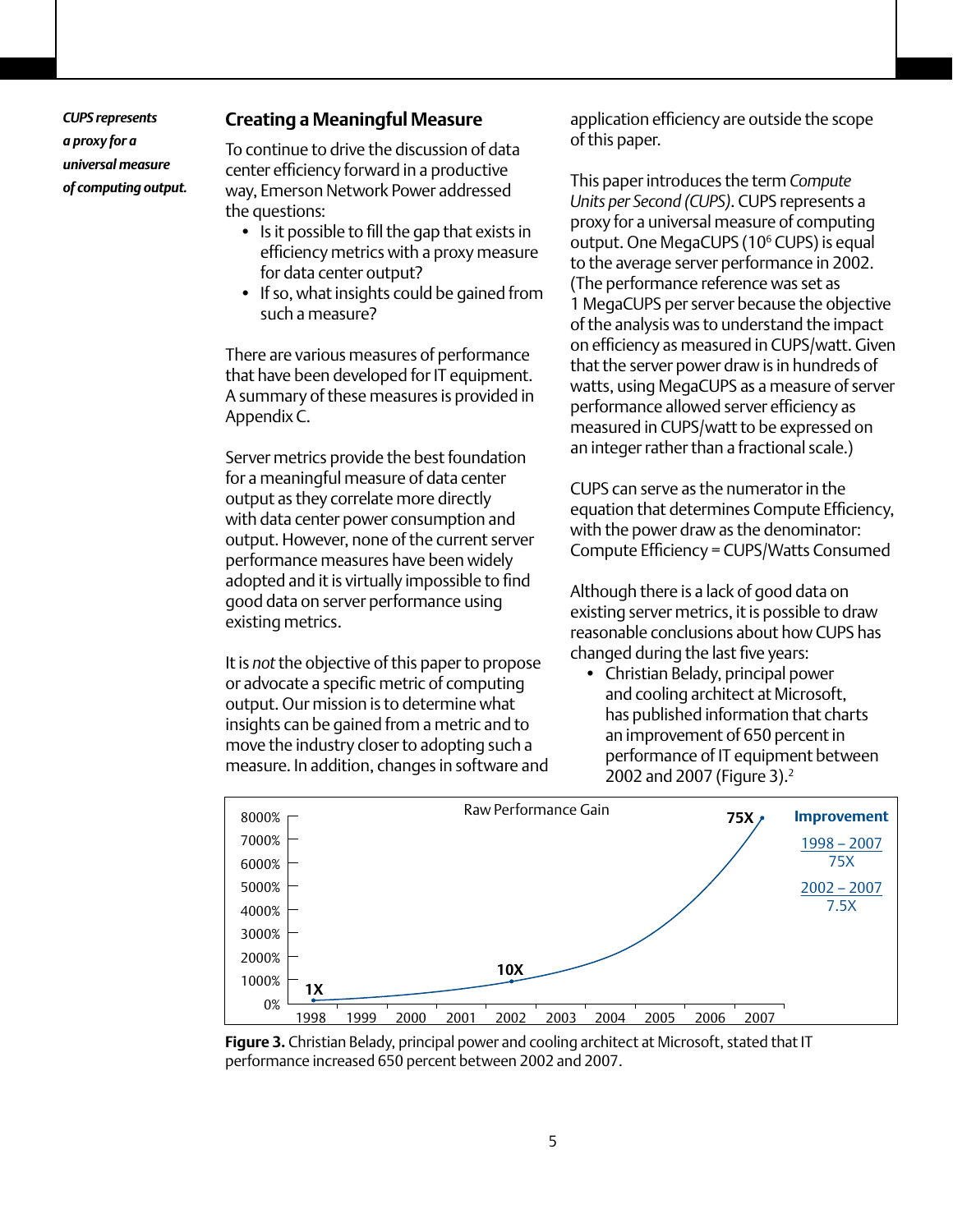*CUPS represents a proxy for a universal measure of computing output.*

### **Creating a Meaningful Measure**

To continue to drive the discussion of data center efficiency forward in a productive way, Emerson Network Power addressed the questions:

- Is it possible to fill the gap that exists in efficiency metrics with a proxy measure for data center output?
- If so, what insights could be gained from such a measure?

There are various measures of performance that have been developed for IT equipment. A summary of these measures is provided in Appendix C.

Server metrics provide the best foundation for a meaningful measure of data center output as they correlate more directly with data center power consumption and output. However, none of the current server performance measures have been widely adopted and it is virtually impossible to find good data on server performance using existing metrics.

It is *not* the objective of this paper to propose or advocate a specific metric of computing output. Our mission is to determine what insights can be gained from a metric and to move the industry closer to adopting such a measure. In addition, changes in software and application efficiency are outside the scope of this paper.

This paper introduces the term *Compute Units per Second (CUPS)*. CUPS represents a proxy for a universal measure of computing output. One MegaCUPS (10<sup>6</sup> CUPS) is equal to the average server performance in 2002. (The performance reference was set as 1 MegaCUPS per server because the objective of the analysis was to understand the impact on efficiency as measured in CUPS/watt. Given that the server power draw is in hundreds of watts, using MegaCUPS as a measure of server performance allowed server efficiency as measured in CUPS/watt to be expressed on an integer rather than a fractional scale.)

CUPS can serve as the numerator in the equation that determines Compute Efficiency, with the power draw as the denominator: Compute Efficiency = CUPS/Watts Consumed

Although there is a lack of good data on existing server metrics, it is possible to draw reasonable conclusions about how CUPS has changed during the last five years:

• Christian Belady, principal power and cooling architect at Microsoft, has published information that charts an improvement of 650 percent in performance of IT equipment between 2002 and 2007 (Figure 3).<sup>2</sup>



**Figure 3.** Christian Belady, principal power and cooling architect at Microsoft, stated that IT performance increased 650 percent between 2002 and 2007.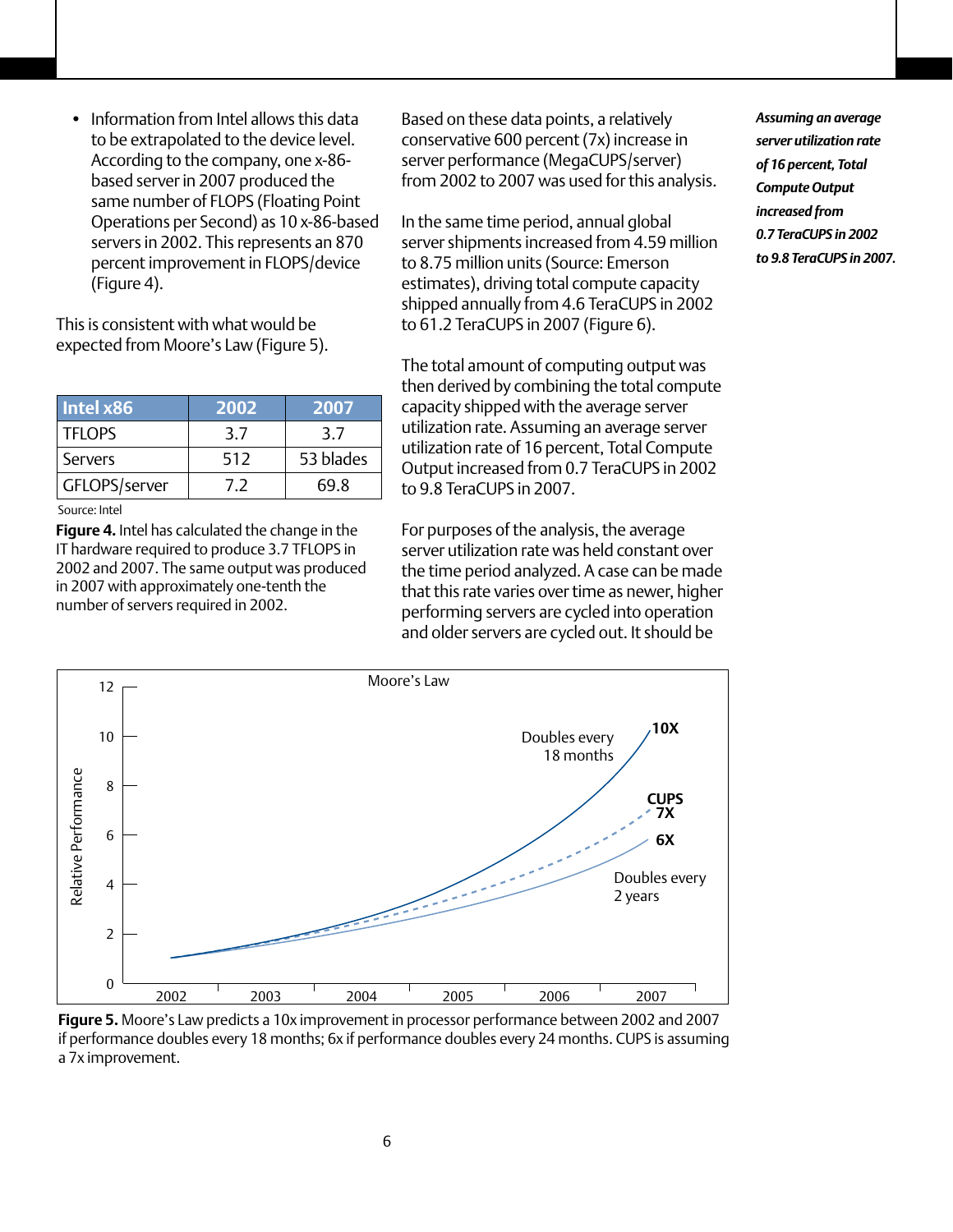• Information from Intel allows this data to be extrapolated to the device level. According to the company, one x-86 based server in 2007 produced the same number of FLOPS (Floating Point Operations per Second) as 10 x-86-based servers in 2002. This represents an 870 percent improvement in FLOPS/device (Figure 4).

This is consistent with what would be expected from Moore's Law (Figure 5).

| Intel x86     | 2002 | 2007      |
|---------------|------|-----------|
| TFLOPS        | 3.7  | 3.7       |
| Servers       | 512  | 53 blades |
| GFLOPS/server | 7.2  | 69.8      |

Source: Intel

**Figure 4.** Intel has calculated the change in the IT hardware required to produce 3.7 TFLOPS in 2002 and 2007. The same output was produced in 2007 with approximately one-tenth the number of servers required in 2002.

Based on these data points, a relatively conservative 600 percent (7x) increase in server performance (MegaCUPS/server) from 2002 to 2007 was used for this analysis.

In the same time period, annual global server shipments increased from 4.59 million to 8.75 million units (Source: Emerson estimates), driving total compute capacity shipped annually from 4.6 TeraCUPS in 2002 to 61.2 TeraCUPS in 2007 (Figure 6).

The total amount of computing output was then derived by combining the total compute capacity shipped with the average server utilization rate. Assuming an average server utilization rate of 16 percent, Total Compute Output increased from 0.7 TeraCUPS in 2002 to 9.8 TeraCUPS in 2007.

For purposes of the analysis, the average server utilization rate was held constant over the time period analyzed. A case can be made that this rate varies over time as newer, higher performing servers are cycled into operation and older servers are cycled out. It should be





**Figure 5.** Moore's Law predicts a 10x improvement in processor performance between 2002 and 2007 if performance doubles every 18 months; 6x if performance doubles every 24 months. CUPS is assuming a 7x improvement.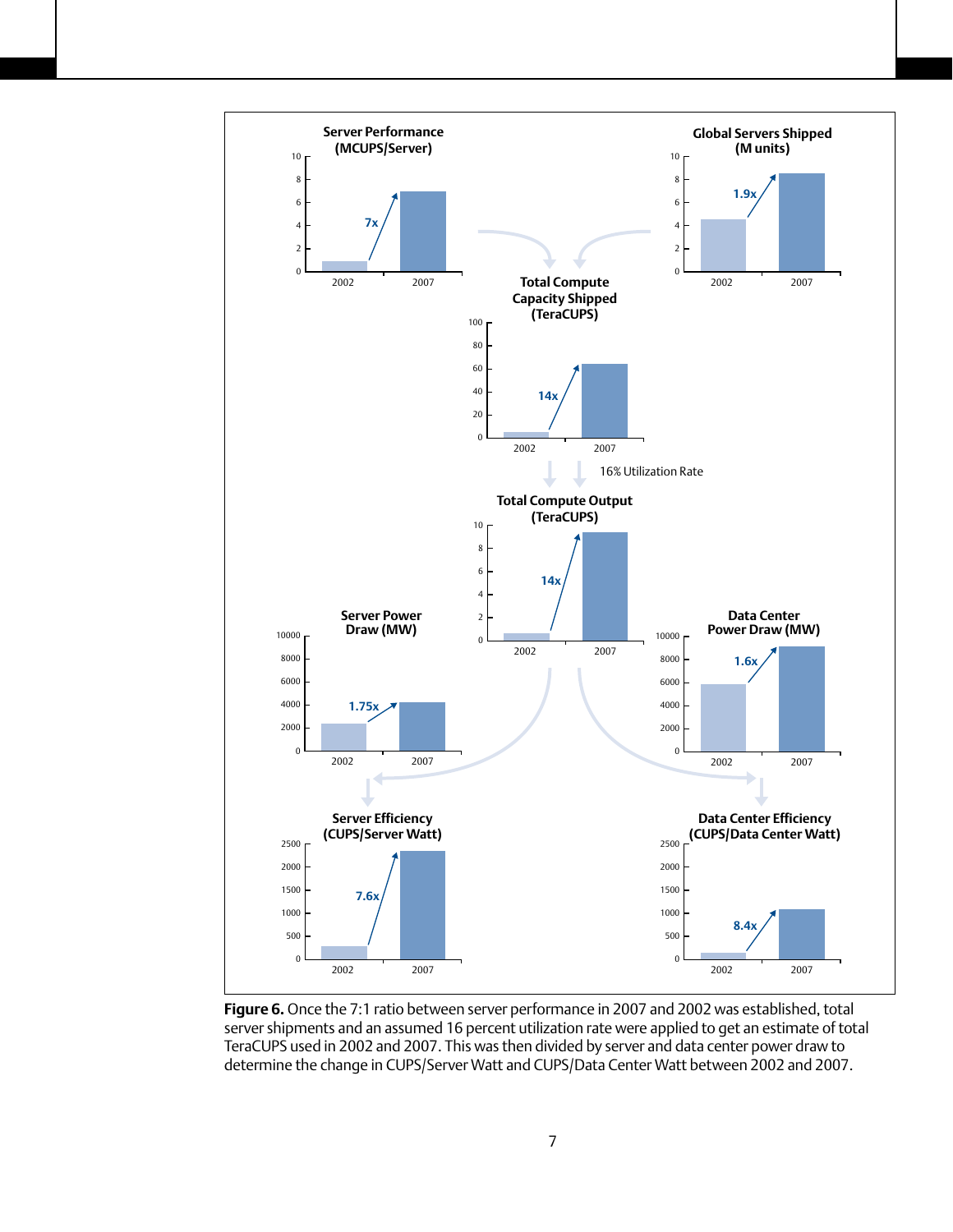

**Figure 6.** Once the 7:1 ratio between server performance in 2007 and 2002 was established, total server shipments and an assumed 16 percent utilization rate were applied to get an estimate of total TeraCUPS used in 2002 and 2007. This was then divided by server and data center power draw to determine the change in CUPS/Server Watt and CUPS/Data Center Watt between 2002 and 2007.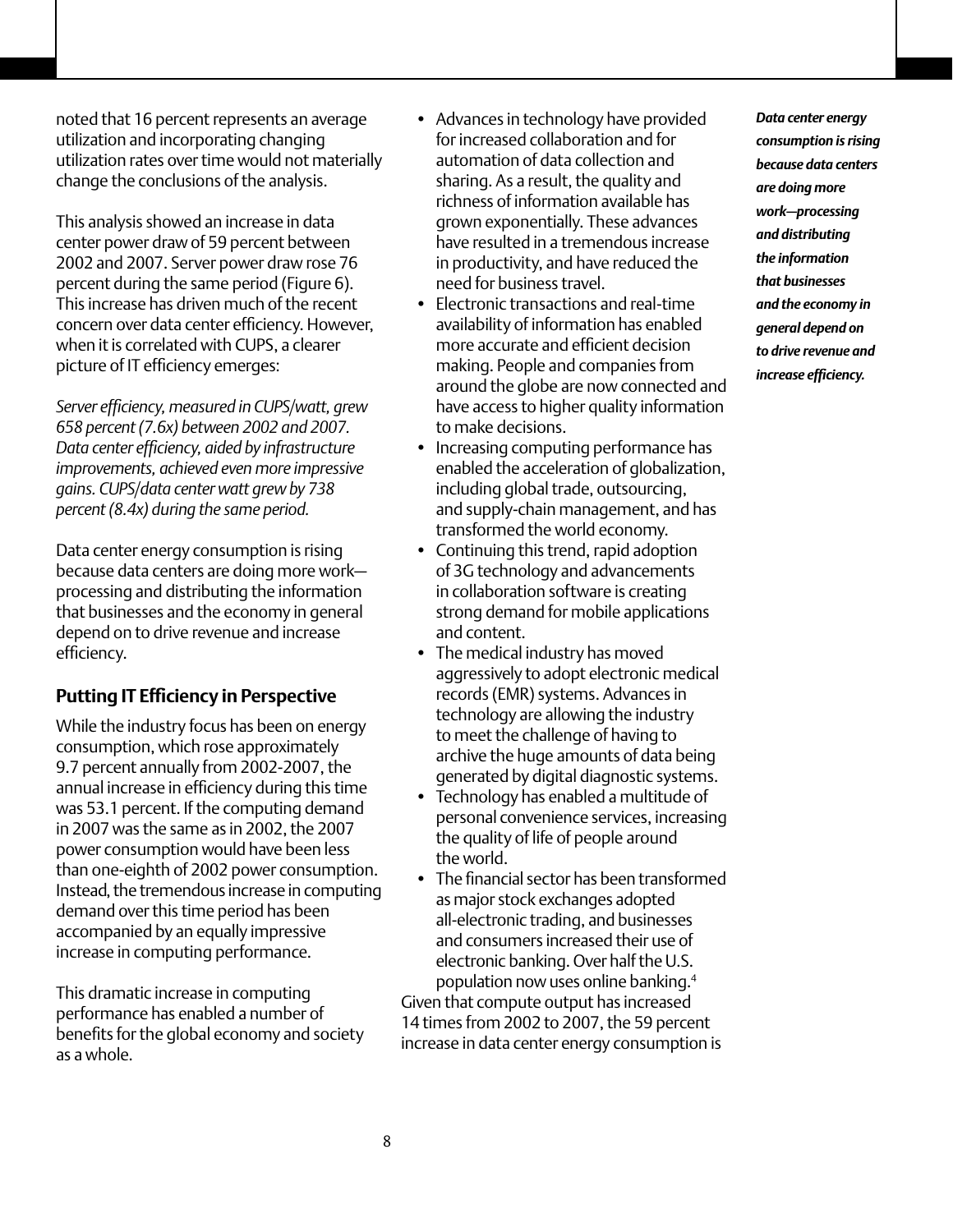noted that 16 percent represents an average utilization and incorporating changing utilization rates over time would not materially change the conclusions of the analysis.

This analysis showed an increase in data center power draw of 59 percent between 2002 and 2007. Server power draw rose 76 percent during the same period (Figure 6). This increase has driven much of the recent concern over data center efficiency. However, when it is correlated with CUPS, a clearer picture of IT efficiency emerges:

*Server efficiency, measured in CUPS/watt, grew 658 percent (7.6x) between 2002 and 2007. Data center efficiency, aided by infrastructure improvements, achieved even more impressive gains. CUPS/data center watt grew by 738 percent (8.4x) during the same period.* 

Data center energy consumption is rising because data centers are doing more work processing and distributing the information that businesses and the economy in general depend on to drive revenue and increase efficiency.

# **Putting IT Efficiency in Perspective**

While the industry focus has been on energy consumption, which rose approximately 9.7 percent annually from 2002-2007, the annual increase in efficiency during this time was 53.1 percent. If the computing demand in 2007 was the same as in 2002, the 2007 power consumption would have been less than one-eighth of 2002 power consumption. Instead, the tremendous increase in computing demand over this time period has been accompanied by an equally impressive increase in computing performance.

This dramatic increase in computing performance has enabled a number of benefits for the global economy and society as a whole.

- Advances in technology have provided for increased collaboration and for automation of data collection and sharing. As a result, the quality and richness of information available has grown exponentially. These advances have resulted in a tremendous increase in productivity, and have reduced the need for business travel.
- • Electronic transactions and real-time availability of information has enabled more accurate and efficient decision making. People and companies from around the globe are now connected and have access to higher quality information to make decisions.
- Increasing computing performance has enabled the acceleration of globalization, including global trade, outsourcing, and supply-chain management, and has transformed the world economy.
- Continuing this trend, rapid adoption of 3G technology and advancements in collaboration software is creating strong demand for mobile applications and content.
- The medical industry has moved aggressively to adopt electronic medical records (EMR) systems. Advances in technology are allowing the industry to meet the challenge of having to archive the huge amounts of data being generated by digital diagnostic systems.
- • Technology has enabled a multitude of personal convenience services, increasing the quality of life of people around the world.
- The financial sector has been transformed as major stock exchanges adopted all-electronic trading, and businesses and consumers increased their use of electronic banking. Over half the U.S. population now uses online banking.4

Given that compute output has increased 14 times from 2002 to 2007, the 59 percent increase in data center energy consumption is *Data center energy consumption is rising because data centers are doing more work—processing and distributing the information that businesses and the economy in general depend on to drive revenue and increase efficiency.*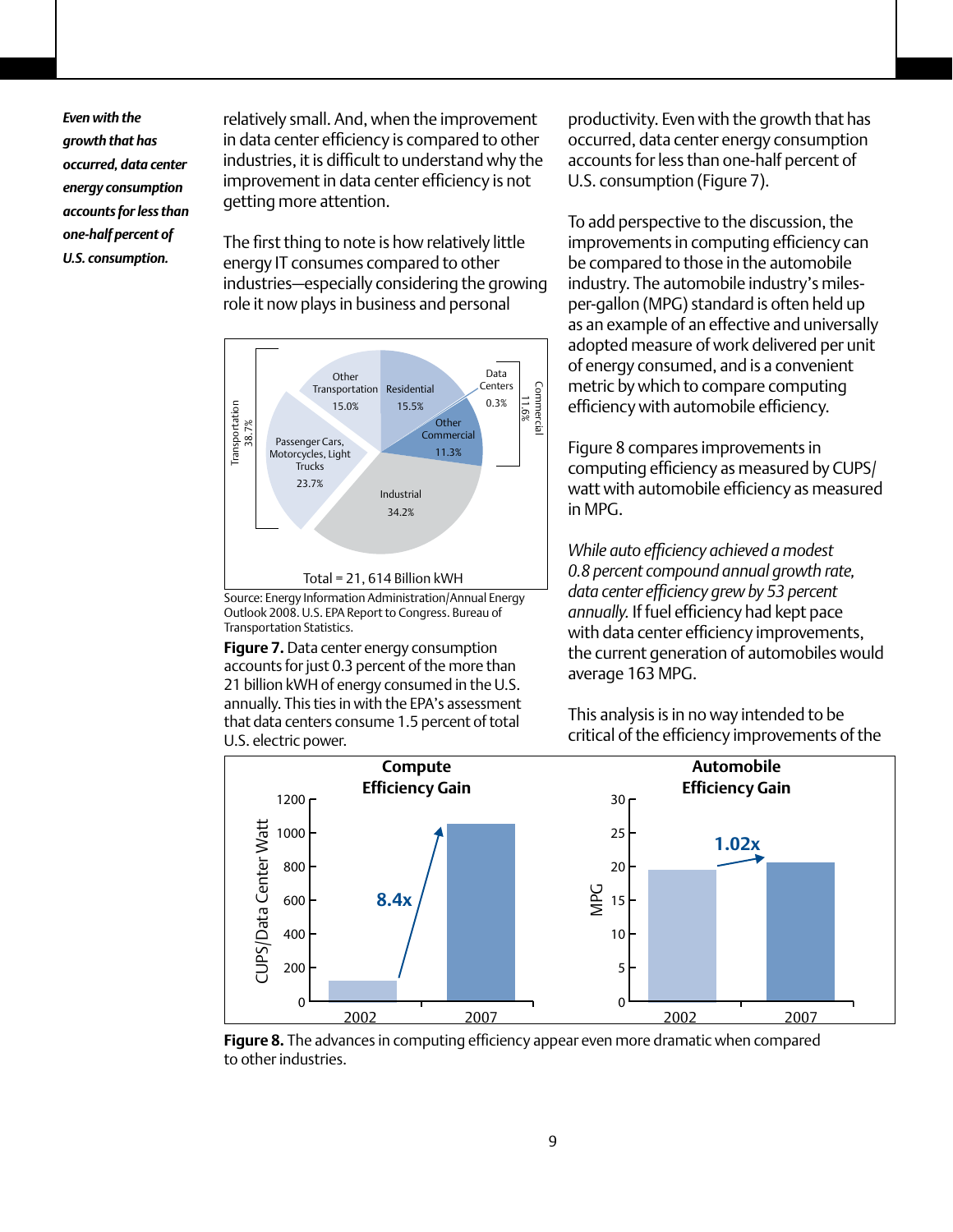*Even with the growth that has occurred, data center energy consumption accounts for less than one-half percent of U.S. consumption.*

relatively small. And, when the improvement in data center efficiency is compared to other industries, it is difficult to understand why the improvement in data center efficiency is not getting more attention.

The first thing to note is how relatively little energy IT consumes compared to other industries—especially considering the growing role it now plays in business and personal



Source: Energy Information Administration/Annual Energy Outlook 2008. U.S. EPA Report to Congress. Bureau of Transportation Statistics.

**Figure 7.** Data center energy consumption accounts for just 0.3 percent of the more than 21 billion kWH of energy consumed in the U.S. annually. This ties in with the EPA's assessment that data centers consume 1.5 percent of total U.S. electric power.

productivity. Even with the growth that has occurred, data center energy consumption accounts for less than one-half percent of U.S. consumption (Figure 7).

To add perspective to the discussion, the improvements in computing efficiency can be compared to those in the automobile industry. The automobile industry's milesper-gallon (MPG) standard is often held up as an example of an effective and universally adopted measure of work delivered per unit of energy consumed, and is a convenient metric by which to compare computing efficiency with automobile efficiency.

Figure 8 compares improvements in computing efficiency as measured by CUPS/ watt with automobile efficiency as measured in MPG.

*While auto efficiency achieved a modest 0.8 percent compound annual growth rate, data center efficiency grew by 53 percent annually.* If fuel efficiency had kept pace with data center efficiency improvements, the current generation of automobiles would average 163 MPG.

This analysis is in no way intended to be critical of the efficiency improvements of the



**Figure 8.** The advances in computing efficiency appear even more dramatic when compared to other industries.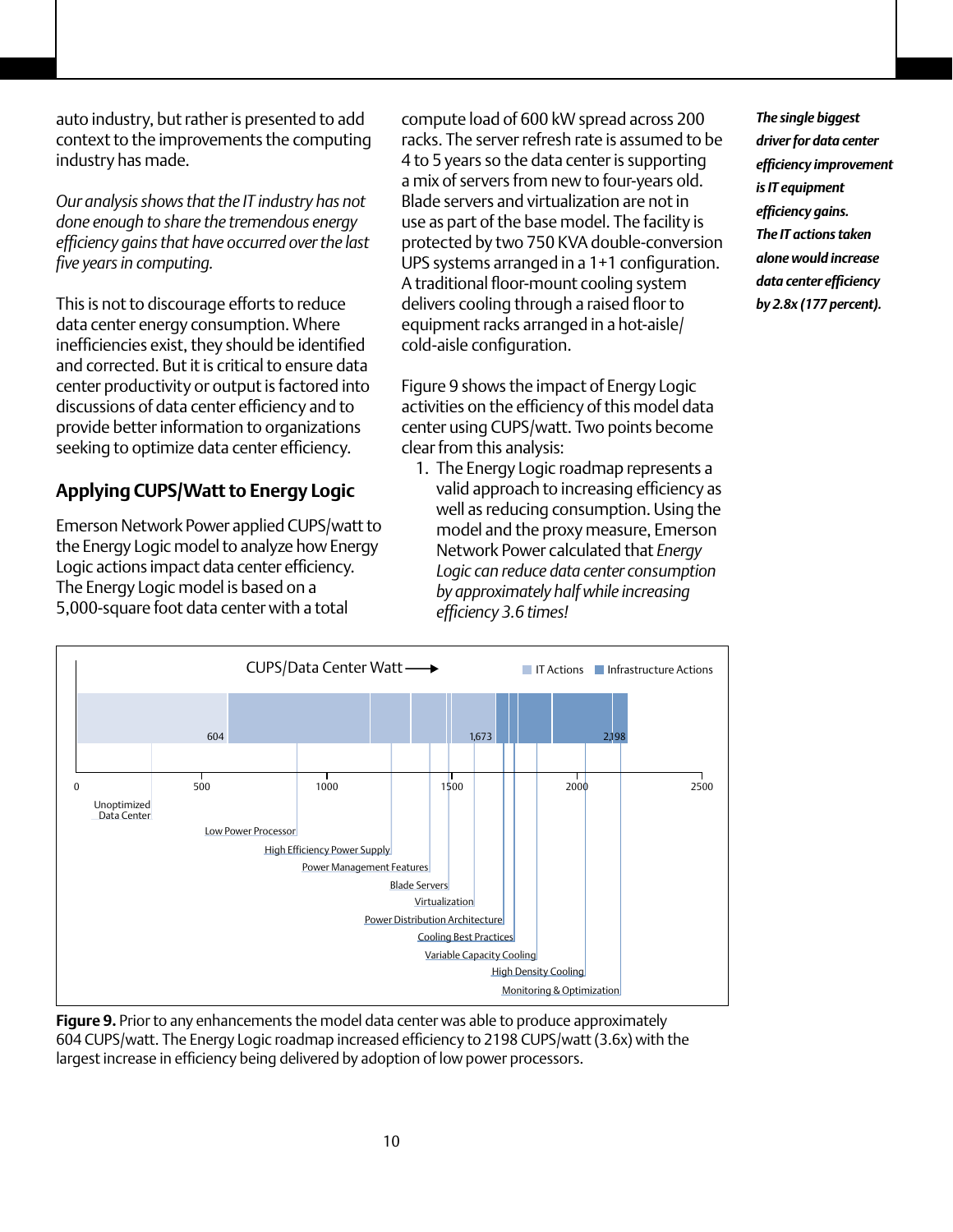auto industry, but rather is presented to add context to the improvements the computing industry has made.

*Our analysis shows that the IT industry has not done enough to share the tremendous energy efficiency gains that have occurred over the last five years in computing.*

This is not to discourage efforts to reduce data center energy consumption. Where inefficiencies exist, they should be identified and corrected. But it is critical to ensure data center productivity or output is factored into discussions of data center efficiency and to provide better information to organizations seeking to optimize data center efficiency.

# **Applying CUPS/Watt to Energy Logic**

Emerson Network Power applied CUPS/watt to the Energy Logic model to analyze how Energy Logic actions impact data center efficiency. The Energy Logic model is based on a 5,000-square foot data center with a total

compute load of 600 kW spread across 200 racks. The server refresh rate is assumed to be 4 to 5 years so the data center is supporting a mix of servers from new to four-years old. Blade servers and virtualization are not in use as part of the base model. The facility is protected by two 750 KVA double-conversion UPS systems arranged in a 1+1 configuration. A traditional floor-mount cooling system delivers cooling through a raised floor to equipment racks arranged in a hot-aisle/ cold-aisle configuration.

Figure 9 shows the impact of Energy Logic activities on the efficiency of this model data center using CUPS/watt. Two points become clear from this analysis:

1. The Energy Logic roadmap represents a valid approach to increasing efficiency as well as reducing consumption. Using the model and the proxy measure, Emerson Network Power calculated that *Energy Logic can reduce data center consumption by approximately half while increasing efficiency 3.6 times!*

*The single biggest driver for data center efficiency improvement is IT equipment efficiency gains. The IT actions taken alone would increase data center efficiency by 2.8x (177 percent).* 



**Figure 9.** Prior to any enhancements the model data center was able to produce approximately 604 CUPS/watt. The Energy Logic roadmap increased efficiency to 2198 CUPS/watt (3.6x) with the largest increase in efficiency being delivered by adoption of low power processors.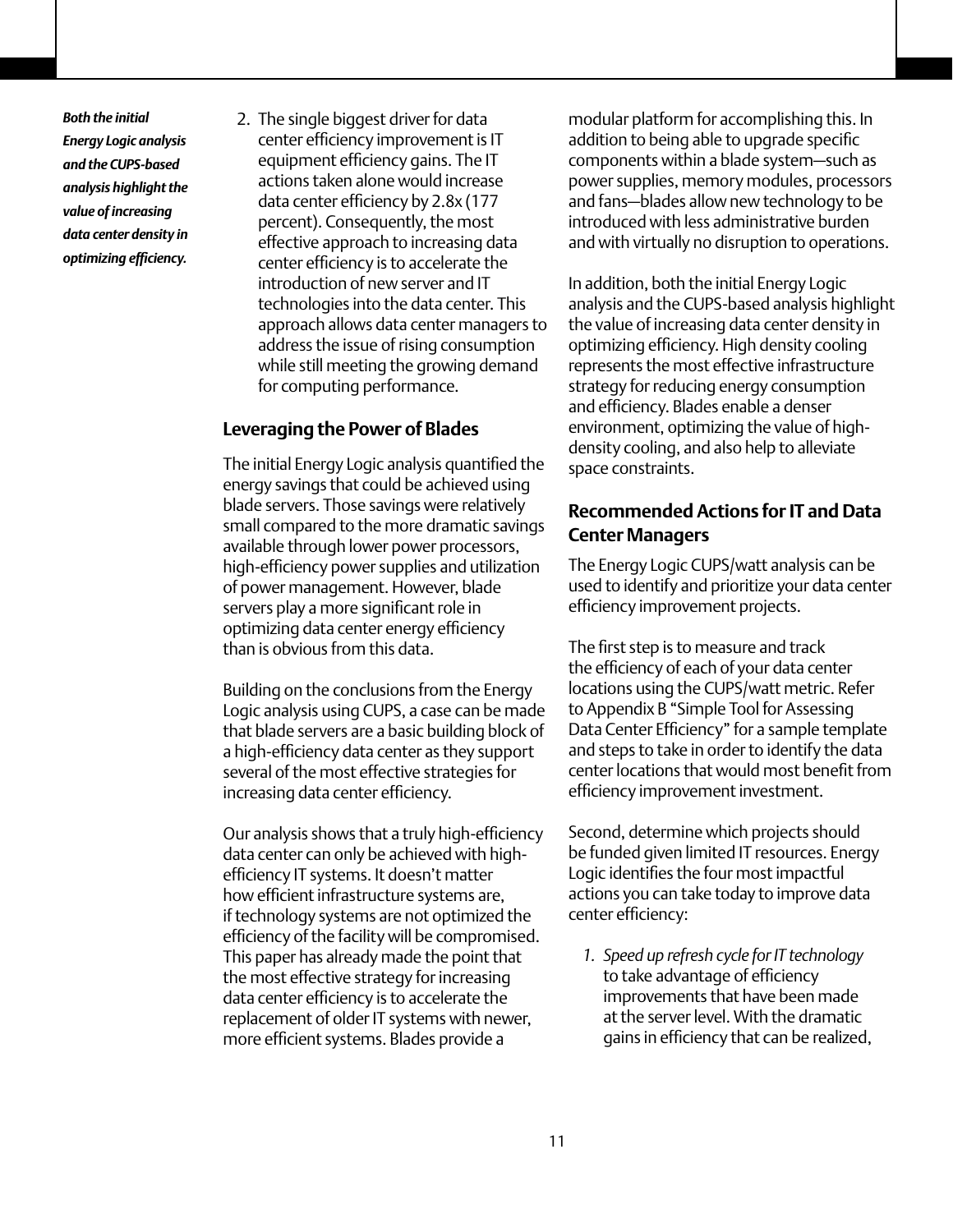*Both the initial Energy Logic analysis and the CUPS-based analysis highlight the value of increasing data center density in optimizing efficiency.*

2. The single biggest driver for data center efficiency improvement is IT equipment efficiency gains. The IT actions taken alone would increase data center efficiency by 2.8x (177 percent). Consequently, the most effective approach to increasing data center efficiency is to accelerate the introduction of new server and IT technologies into the data center. This approach allows data center managers to address the issue of rising consumption while still meeting the growing demand for computing performance.

# **Leveraging the Power of Blades**

The initial Energy Logic analysis quantified the energy savings that could be achieved using blade servers. Those savings were relatively small compared to the more dramatic savings available through lower power processors, high-efficiency power supplies and utilization of power management. However, blade servers play a more significant role in optimizing data center energy efficiency than is obvious from this data.

Building on the conclusions from the Energy Logic analysis using CUPS, a case can be made that blade servers are a basic building block of a high-efficiency data center as they support several of the most effective strategies for increasing data center efficiency.

Our analysis shows that a truly high-efficiency data center can only be achieved with highefficiency IT systems. It doesn't matter how efficient infrastructure systems are, if technology systems are not optimized the efficiency of the facility will be compromised. This paper has already made the point that the most effective strategy for increasing data center efficiency is to accelerate the replacement of older IT systems with newer, more efficient systems. Blades provide a

modular platform for accomplishing this. In addition to being able to upgrade specific components within a blade system—such as power supplies, memory modules, processors and fans—blades allow new technology to be introduced with less administrative burden and with virtually no disruption to operations.

In addition, both the initial Energy Logic analysis and the CUPS-based analysis highlight the value of increasing data center density in optimizing efficiency. High density cooling represents the most effective infrastructure strategy for reducing energy consumption and efficiency. Blades enable a denser environment, optimizing the value of highdensity cooling, and also help to alleviate space constraints.

# **Recommended Actions for IT and Data Center Managers**

The Energy Logic CUPS/watt analysis can be used to identify and prioritize your data center efficiency improvement projects.

The first step is to measure and track the efficiency of each of your data center locations using the CUPS/watt metric. Refer to Appendix B "Simple Tool for Assessing Data Center Efficiency" for a sample template and steps to take in order to identify the data center locations that would most benefit from efficiency improvement investment.

Second, determine which projects should be funded given limited IT resources. Energy Logic identifies the four most impactful actions you can take today to improve data center efficiency:

*1. Speed up refresh cycle for IT technology*  to take advantage of efficiency improvements that have been made at the server level. With the dramatic gains in efficiency that can be realized,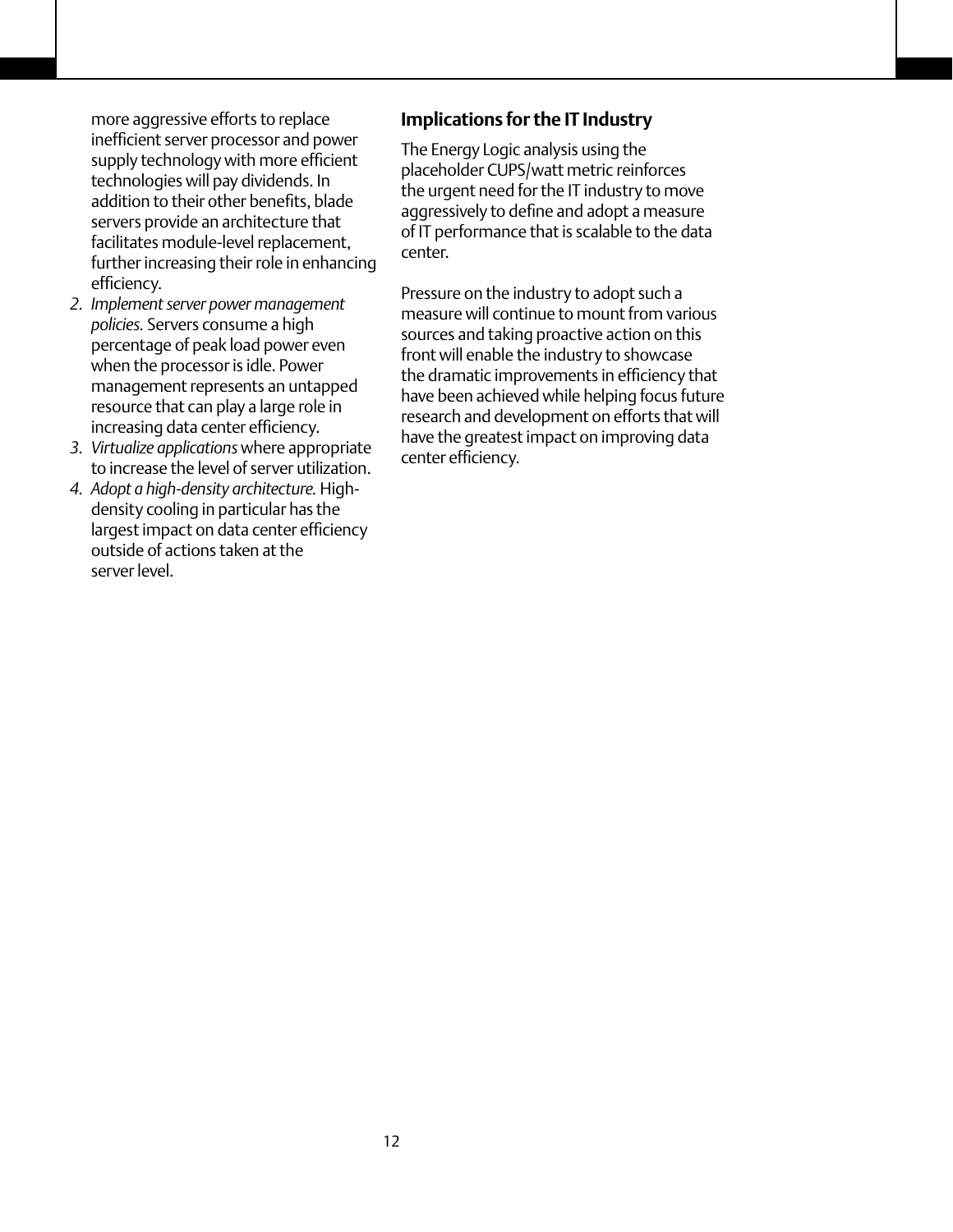more aggressive efforts to replace inefficient server processor and power supply technology with more efficient technologies will pay dividends. In addition to their other benefits, blade servers provide an architecture that facilitates module-level replacement, further increasing their role in enhancing efficiency.

- *2. Implement server power management policies.* Servers consume a high percentage of peak load power even when the processor is idle. Power management represents an untapped resource that can play a large role in increasing data center efficiency.
- *3. Virtualize applications* where appropriate to increase the level of server utilization.
- *4. Adopt a high-density architecture.* Highdensity cooling in particular has the largest impact on data center efficiency outside of actions taken at the server level.

# **Implications for the IT Industry**

The Energy Logic analysis using the placeholder CUPS/watt metric reinforces the urgent need for the IT industry to move aggressively to define and adopt a measure of IT performance that is scalable to the data center.

Pressure on the industry to adopt such a measure will continue to mount from various sources and taking proactive action on this front will enable the industry to showcase the dramatic improvements in efficiency that have been achieved while helping focus future research and development on efforts that will have the greatest impact on improving data center efficiency.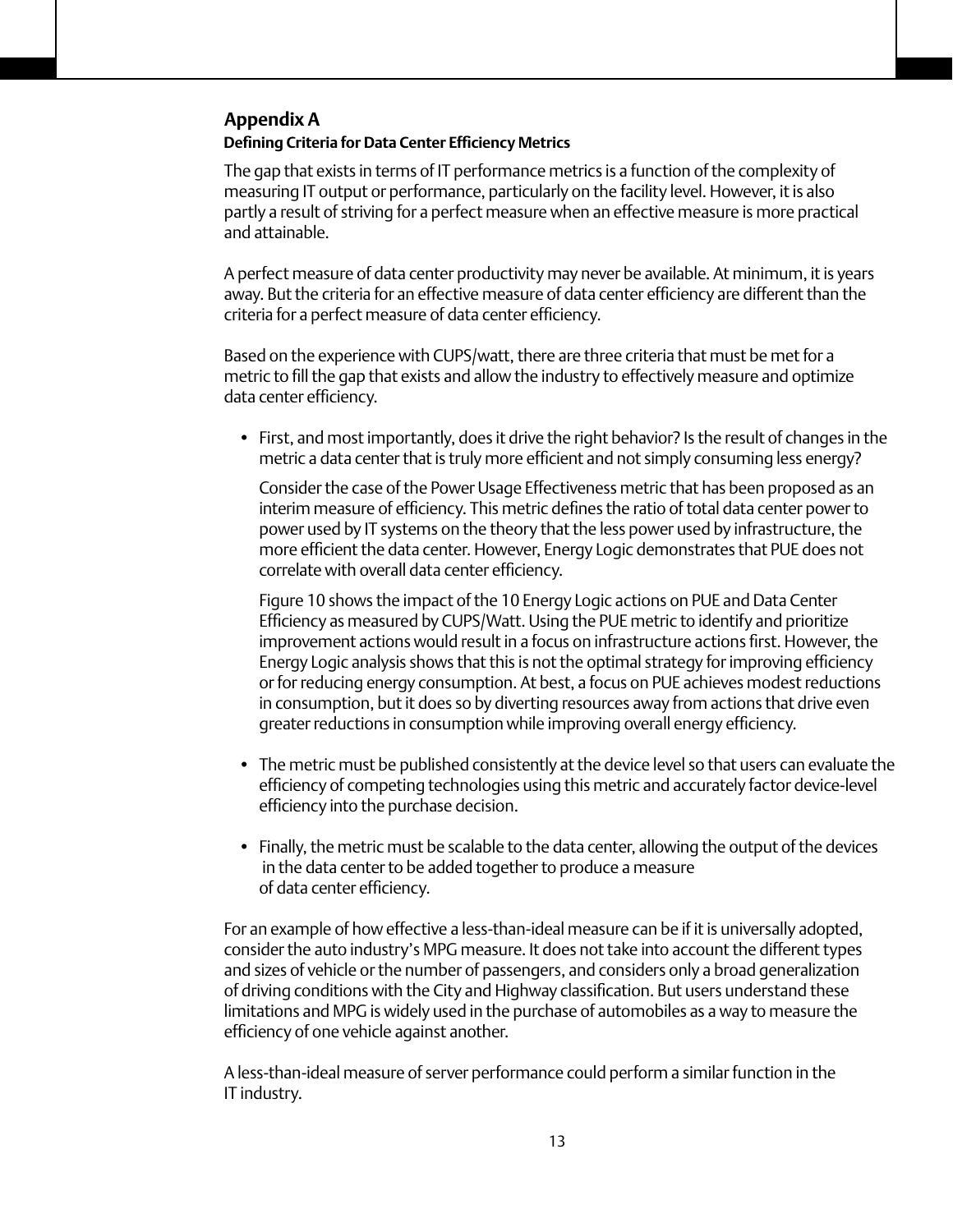# **Defining Criteria for Data Center Efficiency Metrics Appendix A**

The gap that exists in terms of IT performance metrics is a function of the complexity of measuring IT output or performance, particularly on the facility level. However, it is also partly a result of striving for a perfect measure when an effective measure is more practical and attainable.

A perfect measure of data center productivity may never be available. At minimum, it is years away. But the criteria for an effective measure of data center efficiency are different than the criteria for a perfect measure of data center efficiency.

Based on the experience with CUPS/watt, there are three criteria that must be met for a metric to fill the gap that exists and allow the industry to effectively measure and optimize data center efficiency.

• First, and most importantly, does it drive the right behavior? Is the result of changes in the metric a data center that is truly more efficient and not simply consuming less energy?

Consider the case of the Power Usage Effectiveness metric that has been proposed as an interim measure of efficiency. This metric defines the ratio of total data center power to power used by IT systems on the theory that the less power used by infrastructure, the more efficient the data center. However, Energy Logic demonstrates that PUE does not correlate with overall data center efficiency.

Figure 10 shows the impact of the 10 Energy Logic actions on PUE and Data Center Efficiency as measured by CUPS/Watt. Using the PUE metric to identify and prioritize improvement actions would result in a focus on infrastructure actions first. However, the Energy Logic analysis shows that this is not the optimal strategy for improving efficiency or for reducing energy consumption. At best, a focus on PUE achieves modest reductions in consumption, but it does so by diverting resources away from actions that drive even greater reductions in consumption while improving overall energy efficiency.

- The metric must be published consistently at the device level so that users can evaluate the efficiency of competing technologies using this metric and accurately factor device-level efficiency into the purchase decision.
- Finally, the metric must be scalable to the data center, allowing the output of the devices in the data center to be added together to produce a measure of data center efficiency.

For an example of how effective a less-than-ideal measure can be if it is universally adopted, consider the auto industry's MPG measure. It does not take into account the different types and sizes of vehicle or the number of passengers, and considers only a broad generalization of driving conditions with the City and Highway classification. But users understand these limitations and MPG is widely used in the purchase of automobiles as a way to measure the efficiency of one vehicle against another.

A less-than-ideal measure of server performance could perform a similar function in the IT industry.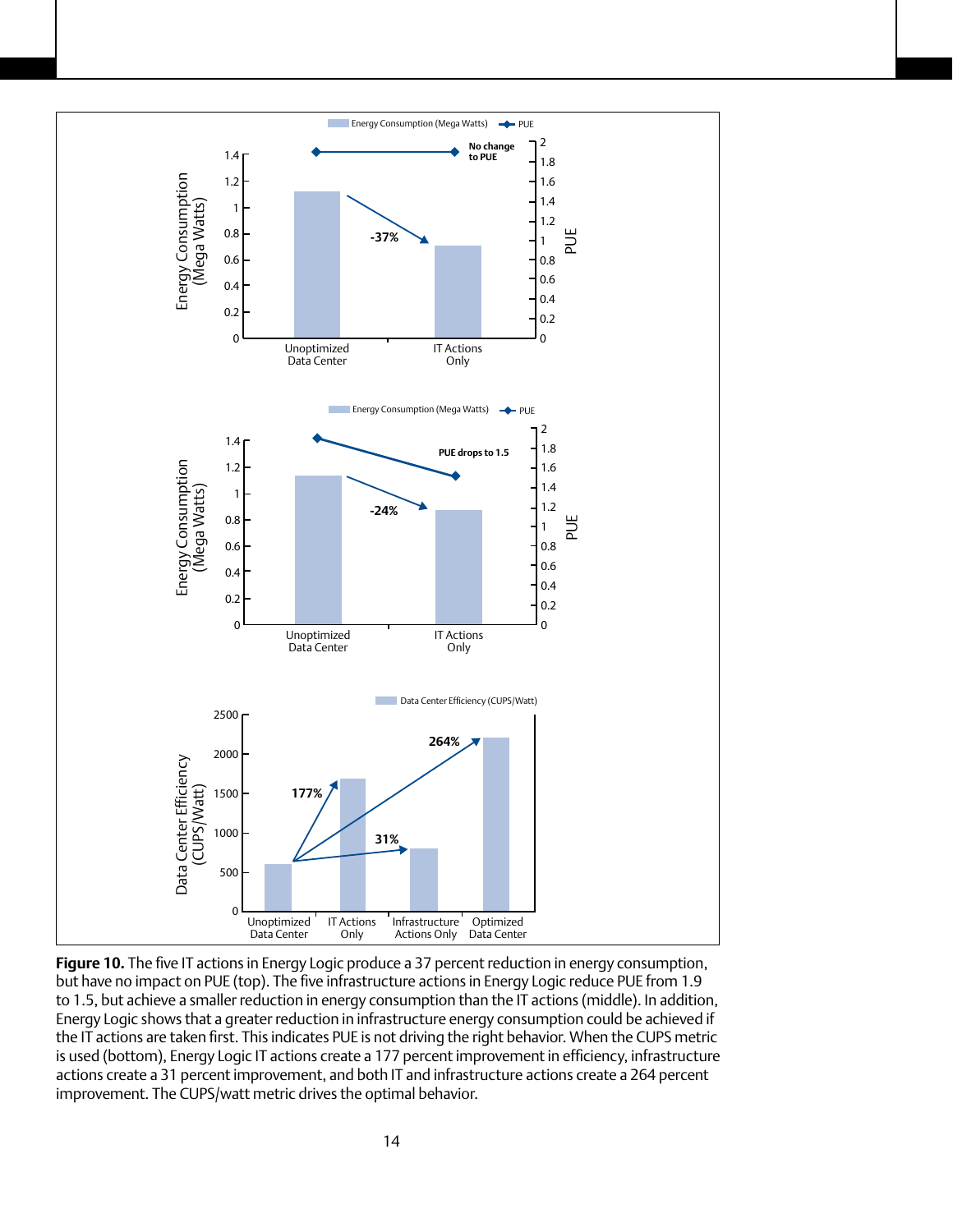

**Figure 10.** The five IT actions in Energy Logic produce a 37 percent reduction in energy consumption, but have no impact on PUE (top). The five infrastructure actions in Energy Logic reduce PUE from 1.9 to 1.5, but achieve a smaller reduction in energy consumption than the IT actions (middle). In addition, Energy Logic shows that a greater reduction in infrastructure energy consumption could be achieved if the IT actions are taken first. This indicates PUE is not driving the right behavior. When the CUPS metric is used (bottom), Energy Logic IT actions create a 177 percent improvement in efficiency, infrastructure actions create a 31 percent improvement, and both IT and infrastructure actions create a 264 percent improvement. The CUPS/watt metric drives the optimal behavior.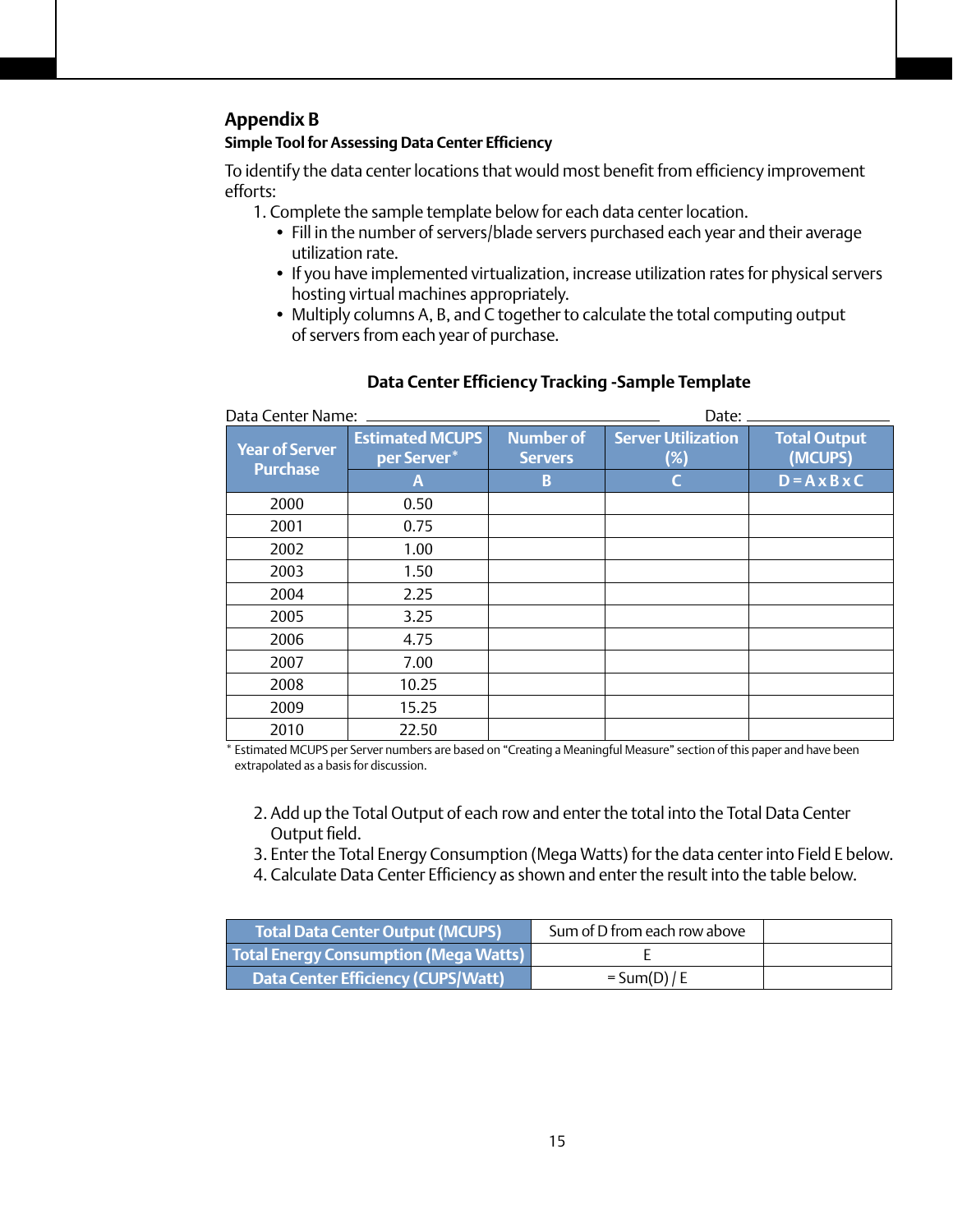## **Appendix B**

#### **Simple Tool for Assessing Data Center Efficiency**

To identify the data center locations that would most benefit from efficiency improvement efforts:

- 1. Complete the sample template below for each data center location.
	- Fill in the number of servers/blade servers purchased each year and their average utilization rate.
	- If you have implemented virtualization, increase utilization rates for physical servers hosting virtual machines appropriately.
	- Multiply columns A, B, and C together to calculate the total computing output of servers from each year of purchase.

| Data Center Name:                        |                                       |                                    | Date:                            |                                |  |
|------------------------------------------|---------------------------------------|------------------------------------|----------------------------------|--------------------------------|--|
| <b>Year of Server</b><br><b>Purchase</b> | <b>Estimated MCUPS</b><br>per Server* | <b>Number of</b><br><b>Servers</b> | <b>Server Utilization</b><br>(%) | <b>Total Output</b><br>(MCUPS) |  |
|                                          | A                                     | B                                  | C                                | $D = A \times B \times C$      |  |
| 2000                                     | 0.50                                  |                                    |                                  |                                |  |
| 2001                                     | 0.75                                  |                                    |                                  |                                |  |
| 2002                                     | 1.00                                  |                                    |                                  |                                |  |
| 2003                                     | 1.50                                  |                                    |                                  |                                |  |
| 2004                                     | 2.25                                  |                                    |                                  |                                |  |
| 2005                                     | 3.25                                  |                                    |                                  |                                |  |
| 2006                                     | 4.75                                  |                                    |                                  |                                |  |
| 2007                                     | 7.00                                  |                                    |                                  |                                |  |
| 2008                                     | 10.25                                 |                                    |                                  |                                |  |
| 2009                                     | 15.25                                 |                                    |                                  |                                |  |
| 2010                                     | 22.50                                 |                                    |                                  |                                |  |

#### **Data Center Efficiency Tracking ‑Sample Template**

\* Estimated MCUPS per Server numbers are based on "Creating a Meaningful Measure" section of this paper and have been extrapolated as a basis for discussion.

- 2. Add up the Total Output of each row and enter the total into the Total Data Center Output field.
- 3. Enter the Total Energy Consumption (Mega Watts) for the data center into Field E below.
- 4. Calculate Data Center Efficiency as shown and enter the result into the table below.

| Total Data Center Output (MCUPS)          | Sum of D from each row above |  |
|-------------------------------------------|------------------------------|--|
| Total Energy Consumption (Mega Watts)     |                              |  |
| <b>Data Center Efficiency (CUPS/Watt)</b> | $= Sum(D)/E$                 |  |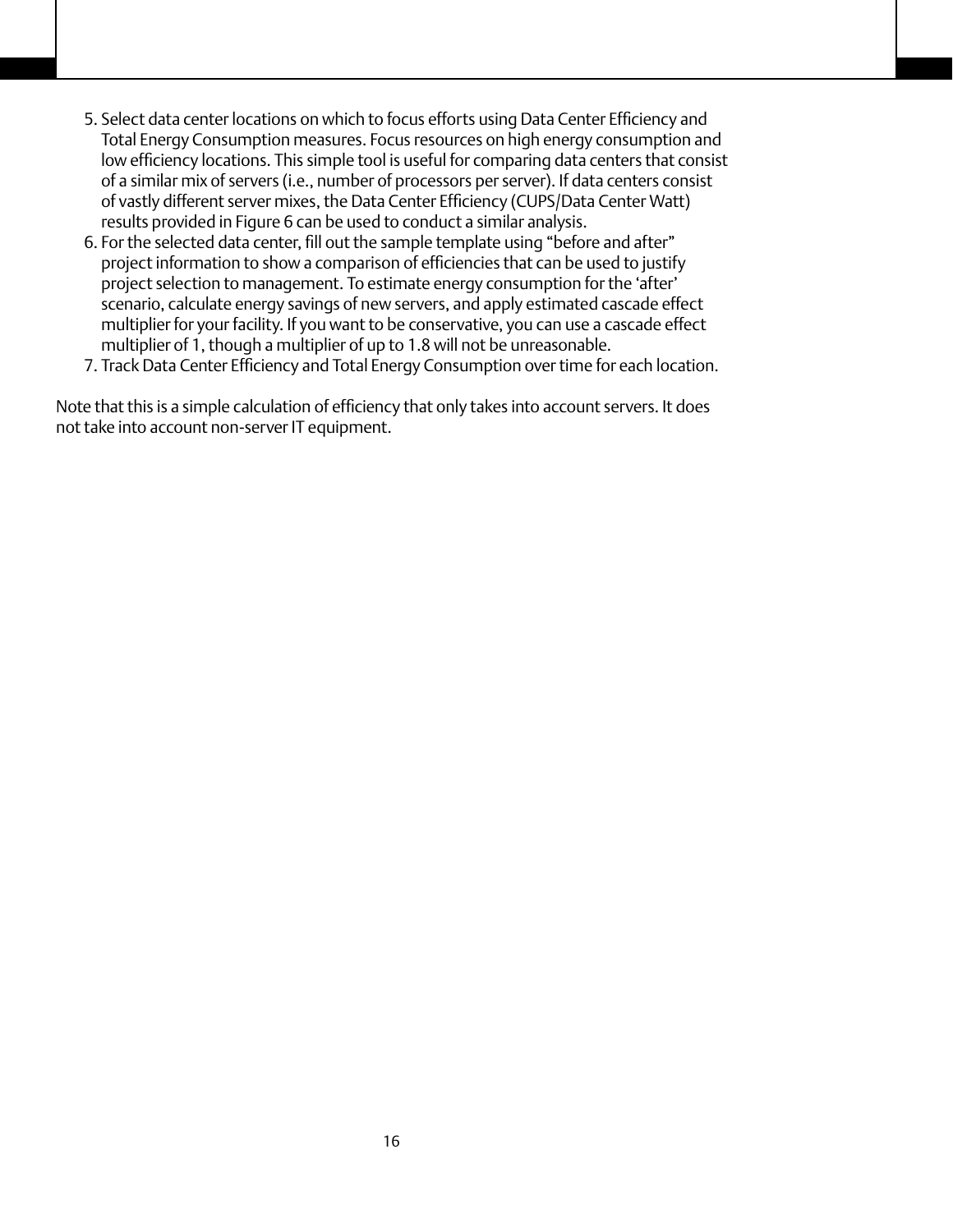- 5. Select data center locations on which to focus efforts using Data Center Efficiency and Total Energy Consumption measures. Focus resources on high energy consumption and low efficiency locations. This simple tool is useful for comparing data centers that consist of a similar mix of servers (i.e., number of processors per server). If data centers consist of vastly different server mixes, the Data Center Efficiency (CUPS/Data Center Watt) results provided in Figure 6 can be used to conduct a similar analysis.
- 6. For the selected data center, fill out the sample template using "before and after" project information to show a comparison of efficiencies that can be used to justify project selection to management. To estimate energy consumption for the 'after' scenario, calculate energy savings of new servers, and apply estimated cascade effect multiplier for your facility. If you want to be conservative, you can use a cascade effect multiplier of 1, though a multiplier of up to 1.8 will not be unreasonable.
- 7. Track Data Center Efficiency and Total Energy Consumption over time for each location.

Note that this is a simple calculation of efficiency that only takes into account servers. It does not take into account non-server IT equipment.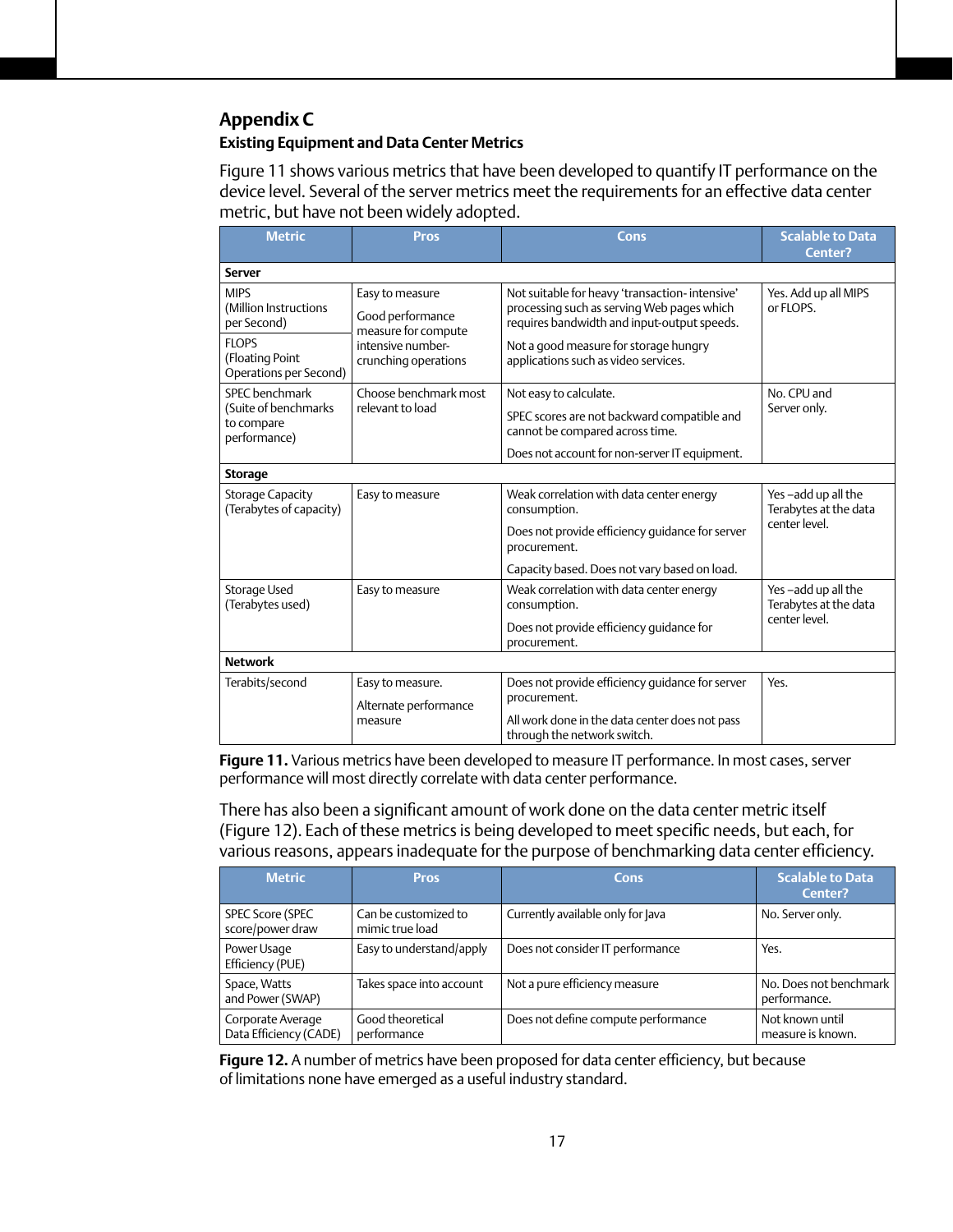# **Appendix C**

# **Existing Equipment and Data Center Metrics**

Figure 11 shows various metrics that have been developed to quantify IT performance on the device level. Several of the server metrics meet the requirements for an effective data center metric, but have not been widely adopted.

| <b>Metric</b>                                                        | <b>Pros</b>                                                                     | Cons                                                                                                                                                                                  | <b>Scalable to Data</b><br>Center?                           |  |  |
|----------------------------------------------------------------------|---------------------------------------------------------------------------------|---------------------------------------------------------------------------------------------------------------------------------------------------------------------------------------|--------------------------------------------------------------|--|--|
| <b>Server</b>                                                        |                                                                                 |                                                                                                                                                                                       |                                                              |  |  |
| <b>MIPS</b><br>(Million Instructions<br>per Second)<br><b>FLOPS</b>  | Easy to measure<br>Good performance<br>measure for compute<br>intensive number- | Not suitable for heavy 'transaction- intensive'<br>processing such as serving Web pages which<br>requires bandwidth and input-output speeds.<br>Not a good measure for storage hungry | Yes. Add up all MIPS<br>or FLOPS.                            |  |  |
| (Floating Point<br>Operations per Second)                            | crunching operations                                                            | applications such as video services.                                                                                                                                                  |                                                              |  |  |
| SPEC benchmark<br>(Suite of benchmarks<br>to compare<br>performance) | Choose benchmark most<br>relevant to load                                       | Not easy to calculate.<br>SPEC scores are not backward compatible and<br>cannot be compared across time.<br>Does not account for non-server IT equipment.                             | No. CPU and<br>Server only.                                  |  |  |
| <b>Storage</b>                                                       |                                                                                 |                                                                                                                                                                                       |                                                              |  |  |
| <b>Storage Capacity</b><br>(Terabytes of capacity)                   | Easy to measure                                                                 | Weak correlation with data center energy<br>consumption.                                                                                                                              | Yes-add up all the<br>Terabytes at the data<br>center level. |  |  |
|                                                                      |                                                                                 | Does not provide efficiency quidance for server<br>procurement.                                                                                                                       |                                                              |  |  |
|                                                                      |                                                                                 | Capacity based. Does not vary based on load.                                                                                                                                          |                                                              |  |  |
| Storage Used<br>(Terabytes used)                                     | Easy to measure                                                                 | Weak correlation with data center energy<br>consumption.                                                                                                                              | Yes-add up all the<br>Terabytes at the data<br>center level. |  |  |
|                                                                      |                                                                                 | Does not provide efficiency quidance for<br>procurement.                                                                                                                              |                                                              |  |  |
| <b>Network</b>                                                       |                                                                                 |                                                                                                                                                                                       |                                                              |  |  |
| Terabits/second                                                      | Easy to measure.<br>Alternate performance<br>measure                            | Does not provide efficiency quidance for server<br>procurement.<br>All work done in the data center does not pass<br>through the network switch.                                      | Yes.                                                         |  |  |

**Figure 11.** Various metrics have been developed to measure IT performance. In most cases, server performance will most directly correlate with data center performance.

There has also been a significant amount of work done on the data center metric itself (Figure 12). Each of these metrics is being developed to meet specific needs, but each, for various reasons, appears inadequate for the purpose of benchmarking data center efficiency.

| <b>Metric</b>                               | <b>Pros</b>                             | <b>Cons</b>                         | <b>Scalable to Data</b><br>Center?     |
|---------------------------------------------|-----------------------------------------|-------------------------------------|----------------------------------------|
| <b>SPEC Score (SPEC</b><br>score/power draw | Can be customized to<br>mimic true load | Currently available only for Java   | No. Server only.                       |
| Power Usage<br>Efficiency (PUE)             | Easy to understand/apply                | Does not consider IT performance    | Yes.                                   |
| Space, Watts<br>and Power (SWAP)            | Takes space into account                | Not a pure efficiency measure       | No. Does not benchmark<br>performance. |
| Corporate Average<br>Data Efficiency (CADE) | Good theoretical<br>performance         | Does not define compute performance | Not known until<br>measure is known.   |

**Figure 12.** A number of metrics have been proposed for data center efficiency, but because of limitations none have emerged as a useful industry standard.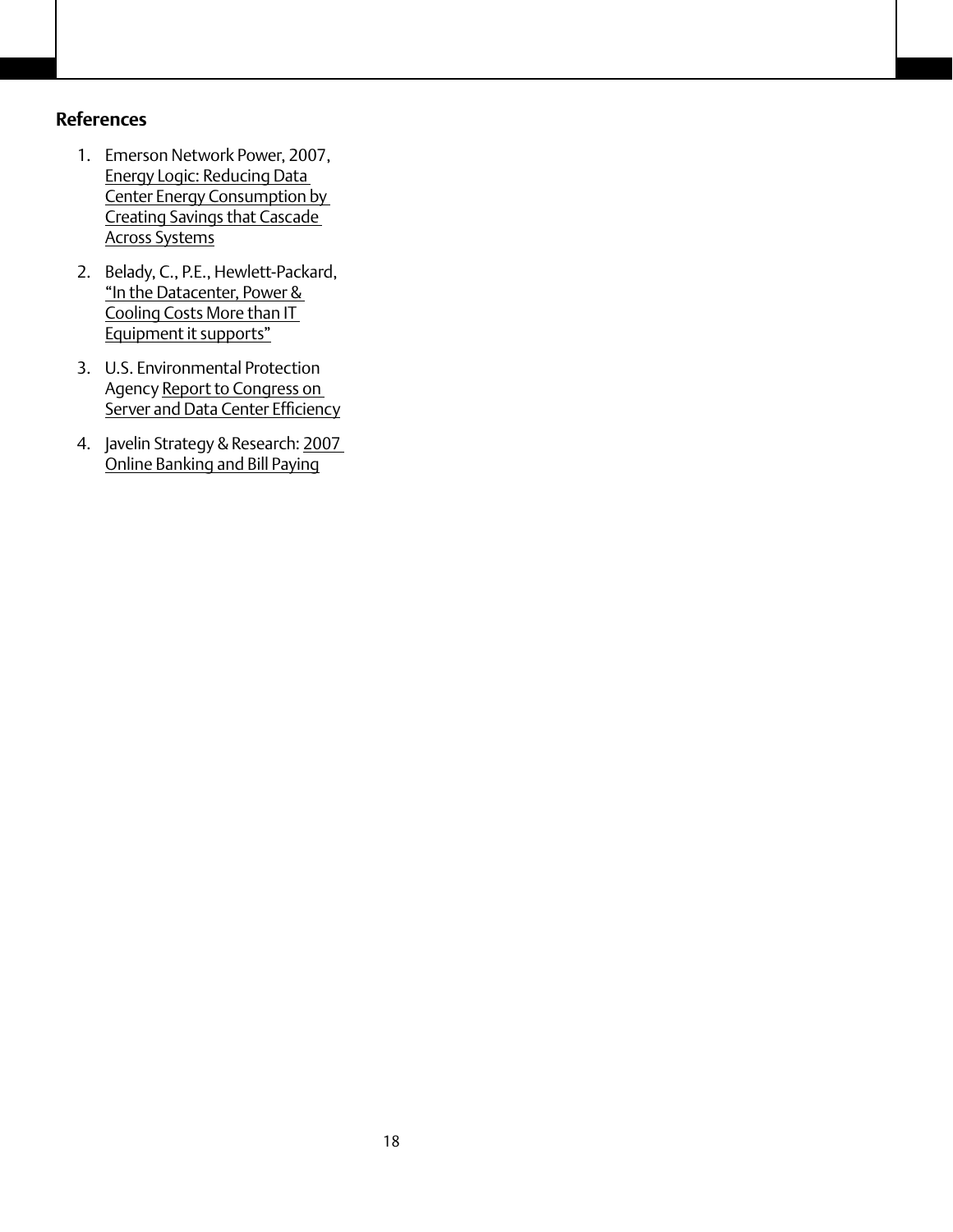# **References**

- 1. Emerson Network Power, 2007, Energy Logic: Reducing Data Center Energy Consumption by Creating Savings that Cascade Across Systems
- 2. Belady, C., P.E., Hewlett-Packard, "In the Datacenter, Power & Cooling Costs More than IT Equipment it supports"
- 3. U.S. Environmental Protection Agency Report to Congress on Server and Data Center Efficiency
- 4. Javelin Strategy & Research: 2007 Online Banking and Bill Paying